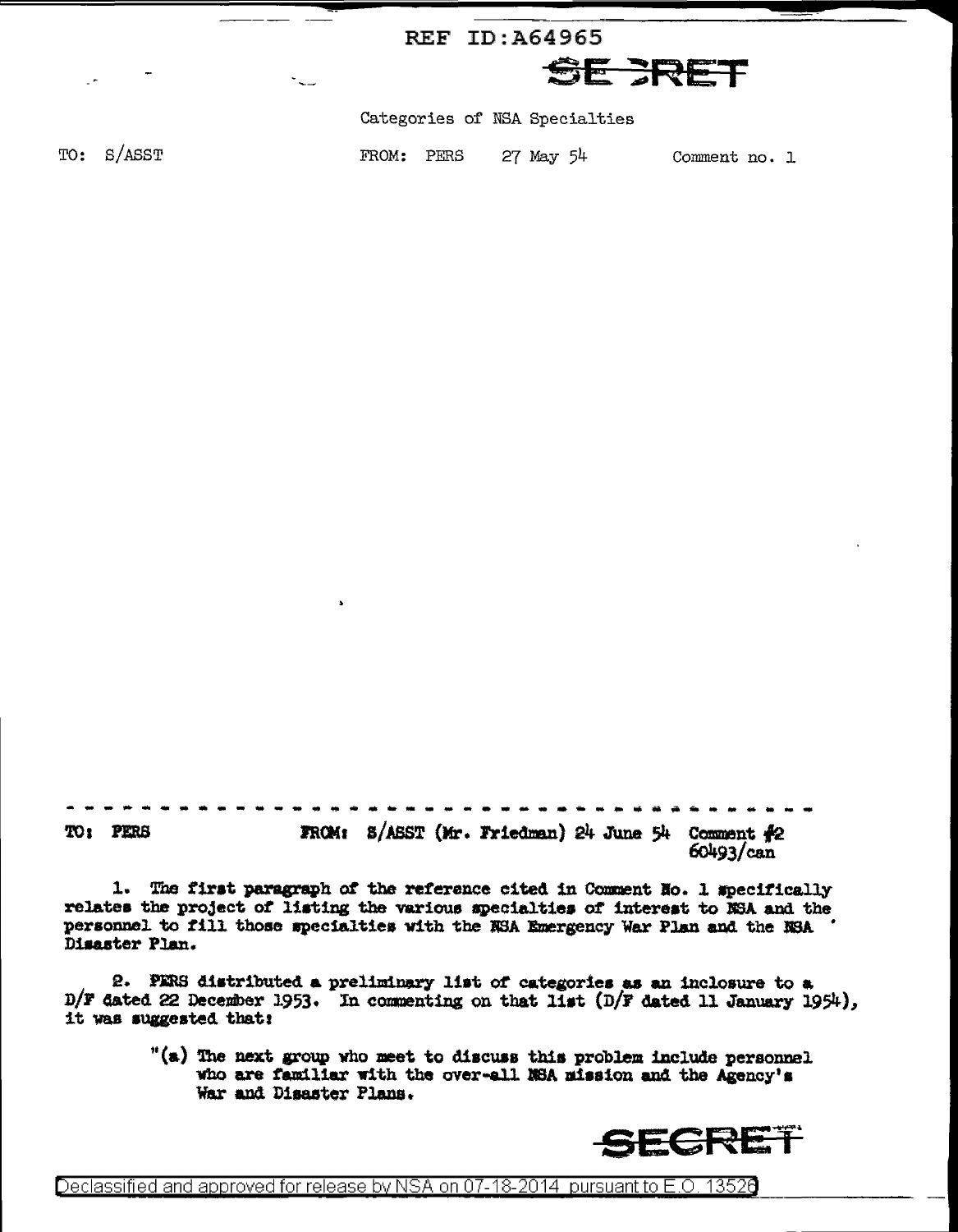|            |        | REF ID:A64965                            |  |
|------------|--------|------------------------------------------|--|
| -<br>$ -$  | $\sim$ | SE FRET                                  |  |
|            |        | Categories of NSA Specialties            |  |
| TO: S/ASST |        | FROM: PERS<br>27 May 54<br>Comment no. 1 |  |
|            |        |                                          |  |

FROM:  $B/ASST$  (Mr. Friedman) 24 June 54 Comment  $\frac{1}{2}2$ TO: PERS  $60493/can$ 

1. The first paragraph of the reference cited in Comment Ho. 1 specifically relates the project of listing the various specialties of interest to NSA and the personnel to fill those specialties with the NSA Emergency War Plan and the NSA ' Disaster Plan.

2. PERS distributed a preliminary list of categories as an inclosure to a D/F dated 22 December 1953. In commenting on that list (D/F dated 11 January 1954), it was suggested that:

> "(a) The next group who meet to discuss this problem include personnel who are familiar with the over-all NSA mission and the Agency's War and Disaster Plans.